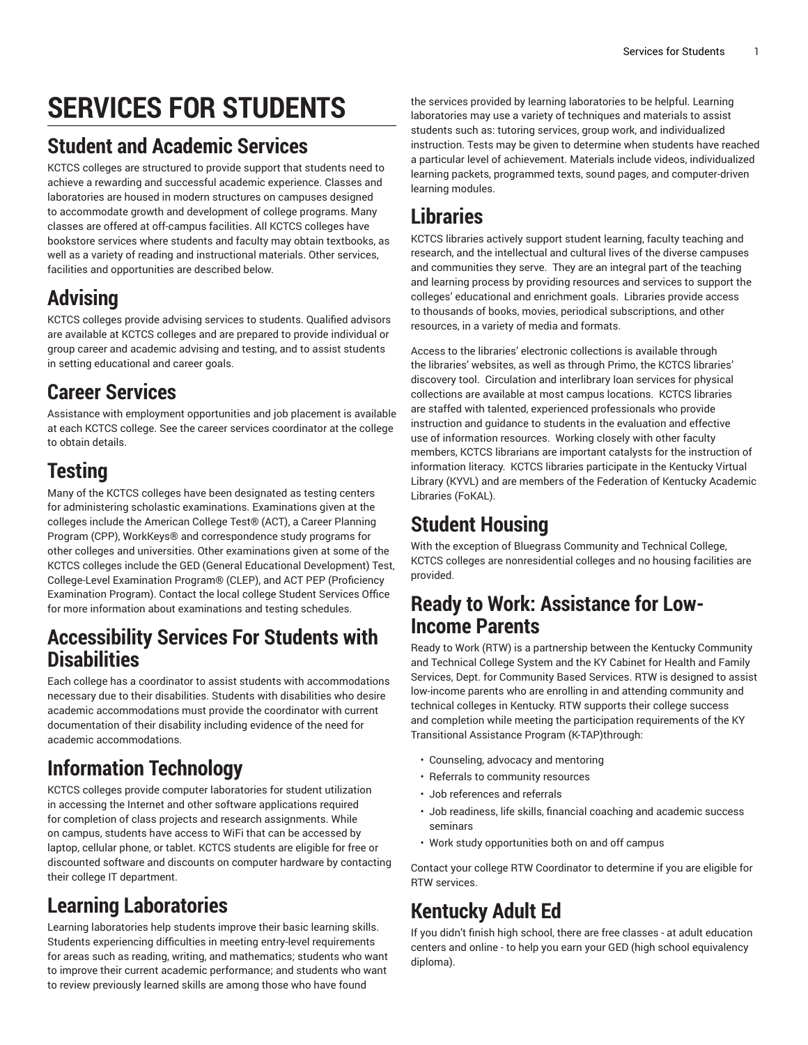# **SERVICES FOR STUDENTS**

# **Student and Academic Services**

KCTCS colleges are structured to provide support that students need to achieve a rewarding and successful academic experience. Classes and laboratories are housed in modern structures on campuses designed to accommodate growth and development of college programs. Many classes are offered at off-campus facilities. All KCTCS colleges have bookstore services where students and faculty may obtain textbooks, as well as a variety of reading and instructional materials. Other services, facilities and opportunities are described below.

# **Advising**

KCTCS colleges provide advising services to students. Qualified advisors are available at KCTCS colleges and are prepared to provide individual or group career and academic advising and testing, and to assist students in setting educational and career goals.

# **Career Services**

Assistance with employment opportunities and job placement is available at each KCTCS college. See the career services coordinator at the college to obtain details.

# **Testing**

Many of the KCTCS colleges have been designated as testing centers for administering scholastic examinations. Examinations given at the colleges include the American College Test® (ACT), a Career Planning Program (CPP), WorkKeys® and correspondence study programs for other colleges and universities. Other examinations given at some of the KCTCS colleges include the GED (General Educational Development) Test, College-Level Examination Program® (CLEP), and ACT PEP (Proficiency Examination Program). Contact the local college Student Services Office for more information about examinations and testing schedules.

#### **Accessibility Services For Students with Disabilities**

Each college has a coordinator to assist students with accommodations necessary due to their disabilities. Students with disabilities who desire academic accommodations must provide the coordinator with current documentation of their disability including evidence of the need for academic accommodations.

# **Information Technology**

KCTCS colleges provide computer laboratories for student utilization in accessing the Internet and other software applications required for completion of class projects and research assignments. While on campus, students have access to WiFi that can be accessed by laptop, cellular phone, or tablet. KCTCS students are eligible for free or discounted software and discounts on computer hardware by contacting their college IT department.

# **Learning Laboratories**

Learning laboratories help students improve their basic learning skills. Students experiencing difficulties in meeting entry-level requirements for areas such as reading, writing, and mathematics; students who want to improve their current academic performance; and students who want to review previously learned skills are among those who have found

the services provided by learning laboratories to be helpful. Learning laboratories may use a variety of techniques and materials to assist students such as: tutoring services, group work, and individualized instruction. Tests may be given to determine when students have reached a particular level of achievement. Materials include videos, individualized learning packets, programmed texts, sound pages, and computer-driven learning modules.

## **Libraries**

KCTCS libraries actively support student learning, faculty teaching and research, and the intellectual and cultural lives of the diverse campuses and communities they serve. They are an integral part of the teaching and learning process by providing resources and services to support the colleges' educational and enrichment goals. Libraries provide access to thousands of books, movies, periodical subscriptions, and other resources, in a variety of media and formats.

Access to the libraries' electronic collections is available through the libraries' websites, as well as through Primo, the KCTCS libraries' discovery tool. Circulation and interlibrary loan services for physical collections are available at most campus locations. KCTCS libraries are staffed with talented, experienced professionals who provide instruction and guidance to students in the evaluation and effective use of information resources. Working closely with other faculty members, KCTCS librarians are important catalysts for the instruction of information literacy. KCTCS libraries participate in the Kentucky Virtual Library (KYVL) and are members of the Federation of Kentucky Academic Libraries (FoKAL).

# **Student Housing**

With the exception of Bluegrass Community and Technical College, KCTCS colleges are nonresidential colleges and no housing facilities are provided.

#### **Ready to Work: Assistance for Low-Income Parents**

Ready to Work (RTW) is a partnership between the Kentucky Community and Technical College System and the KY Cabinet for Health and Family Services, Dept. for Community Based Services. RTW is designed to assist low-income parents who are enrolling in and attending community and technical colleges in Kentucky. RTW supports their college success and completion while meeting the participation requirements of the KY Transitional Assistance Program (K-TAP)through:

- Counseling, advocacy and mentoring
- Referrals to community resources
- Job references and referrals
- Job readiness, life skills, financial coaching and academic success seminars
- Work study opportunities both on and off campus

Contact your college RTW Coordinator to determine if you are eligible for RTW services.

# **Kentucky Adult Ed**

If you didn't finish high school, there are free classes - at adult education centers and online - to help you earn your GED (high school equivalency diploma).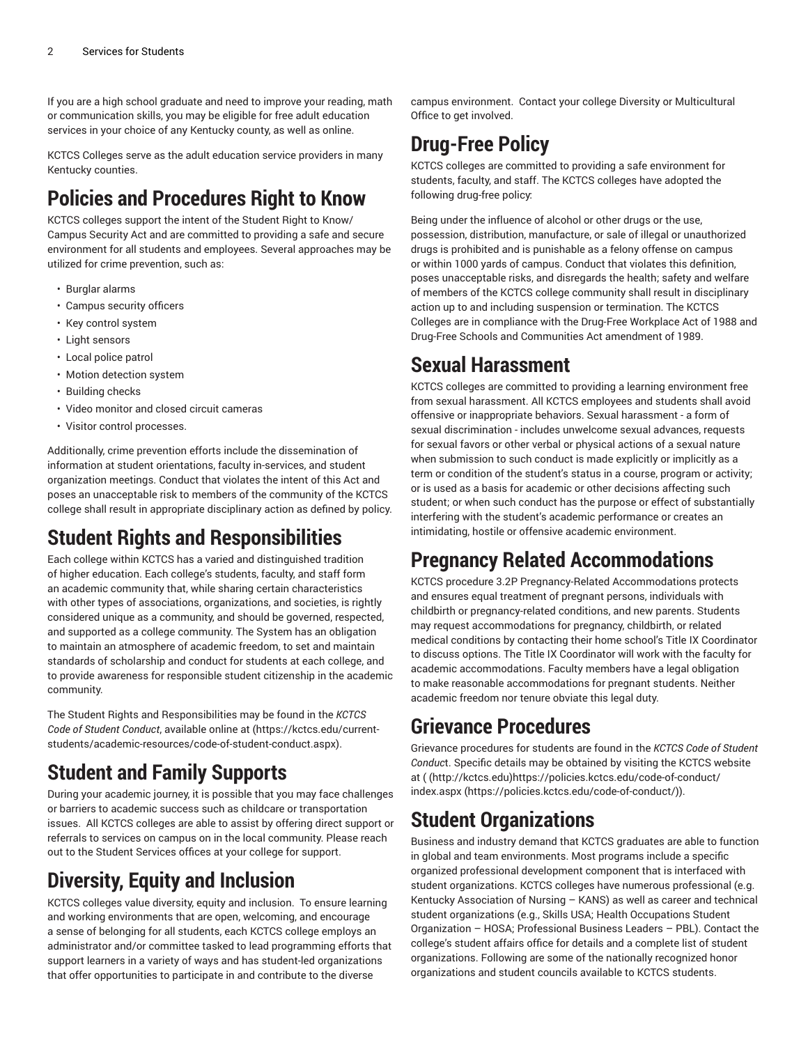If you are a high school graduate and need to improve your reading, math or communication skills, you may be eligible for free adult education services in your choice of any Kentucky county, as well as online.

KCTCS Colleges serve as the adult education service providers in many Kentucky counties.

### **Policies and Procedures Right to Know**

KCTCS colleges support the intent of the Student Right to Know/ Campus Security Act and are committed to providing a safe and secure environment for all students and employees. Several approaches may be utilized for crime prevention, such as:

- Burglar alarms
- Campus security officers
- Key control system
- Light sensors
- Local police patrol
- Motion detection system
- Building checks
- Video monitor and closed circuit cameras
- Visitor control processes.

Additionally, crime prevention efforts include the dissemination of information at student orientations, faculty in-services, and student organization meetings. Conduct that violates the intent of this Act and poses an unacceptable risk to members of the community of the KCTCS college shall result in appropriate disciplinary action as defined by policy.

# **Student Rights and Responsibilities**

Each college within KCTCS has a varied and distinguished tradition of higher education. Each college's students, faculty, and staff form an academic community that, while sharing certain characteristics with other types of associations, organizations, and societies, is rightly considered unique as a community, and should be governed, respected, and supported as a college community. The System has an obligation to maintain an atmosphere of academic freedom, to set and maintain standards of scholarship and conduct for students at each college, and to provide awareness for responsible student citizenship in the academic community.

The Student Rights and Responsibilities may be found in the *KCTCS Code of Student Conduct*, available online at [\(https://kctcs.edu/current](https://kctcs.edu/current-students/academic-resources/code-of-student-conduct.aspx)[students/academic-resources/code-of-student-conduct.aspx\)](https://kctcs.edu/current-students/academic-resources/code-of-student-conduct.aspx).

# **Student and Family Supports**

During your academic journey, it is possible that you may face challenges or barriers to academic success such as childcare or transportation issues. All KCTCS colleges are able to assist by offering direct support or referrals to services on campus on in the local community. Please reach out to the Student Services offices at your college for support.

# **Diversity, Equity and Inclusion**

KCTCS colleges value diversity, equity and inclusion. To ensure learning and working environments that are open, welcoming, and encourage a sense of belonging for all students, each KCTCS college employs an administrator and/or committee tasked to lead programming efforts that support learners in a variety of ways and has student-led organizations that offer opportunities to participate in and contribute to the diverse

campus environment. Contact your college Diversity or Multicultural Office to get involved.

# **Drug-Free Policy**

KCTCS colleges are committed to providing a safe environment for students, faculty, and staff. The KCTCS colleges have adopted the following drug-free policy:

Being under the influence of alcohol or other drugs or the use, possession, distribution, manufacture, or sale of illegal or unauthorized drugs is prohibited and is punishable as a felony offense on campus or within 1000 yards of campus. Conduct that violates this definition, poses unacceptable risks, and disregards the health; safety and welfare of members of the KCTCS college community shall result in disciplinary action up to and including suspension or termination. The KCTCS Colleges are in compliance with the Drug-Free Workplace Act of 1988 and Drug-Free Schools and Communities Act amendment of 1989.

#### **Sexual Harassment**

KCTCS colleges are committed to providing a learning environment free from sexual harassment. All KCTCS employees and students shall avoid offensive or inappropriate behaviors. Sexual harassment - a form of sexual discrimination - includes unwelcome sexual advances, requests for sexual favors or other verbal or physical actions of a sexual nature when submission to such conduct is made explicitly or implicitly as a term or condition of the student's status in a course, program or activity; or is used as a basis for academic or other decisions affecting such student; or when such conduct has the purpose or effect of substantially interfering with the student's academic performance or creates an intimidating, hostile or offensive academic environment.

### **Pregnancy Related Accommodations**

KCTCS procedure 3.2P Pregnancy-Related Accommodations protects and ensures equal treatment of pregnant persons, individuals with childbirth or pregnancy-related conditions, and new parents. Students may request accommodations for pregnancy, childbirth, or related medical conditions by contacting their home school's Title IX Coordinator to discuss options. The Title IX Coordinator will work with the faculty for academic accommodations. Faculty members have a legal obligation to make reasonable accommodations for pregnant students. Neither academic freedom nor tenure obviate this legal duty.

#### **Grievance Procedures**

Grievance procedures for students are found in the *KCTCS Code of Student Conduc*t. Specific details may be obtained by visiting the KCTCS website at [\(](http://kctcs.edu) ([http://kctcs.edu\)](http://kctcs.edu)<https://policies.kctcs.edu/code-of-conduct/> [index.aspx](https://policies.kctcs.edu/code-of-conduct/) (<https://policies.kctcs.edu/code-of-conduct/>)).

### **Student Organizations**

Business and industry demand that KCTCS graduates are able to function in global and team environments. Most programs include a specific organized professional development component that is interfaced with student organizations. KCTCS colleges have numerous professional (e.g. Kentucky Association of Nursing – KANS) as well as career and technical student organizations (e.g., Skills USA; Health Occupations Student Organization – HOSA; Professional Business Leaders – PBL). Contact the college's student affairs office for details and a complete list of student organizations. Following are some of the nationally recognized honor organizations and student councils available to KCTCS students.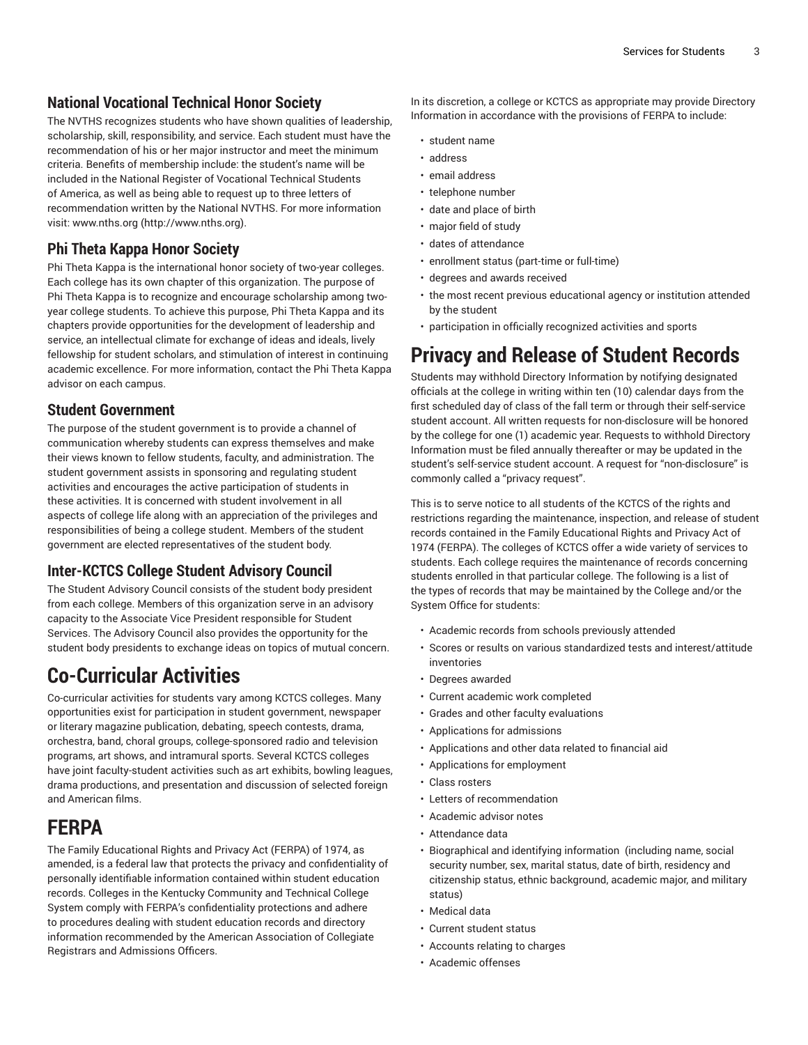#### **National Vocational Technical Honor Society**

The NVTHS recognizes students who have shown qualities of leadership, scholarship, skill, responsibility, and service. Each student must have the recommendation of his or her major instructor and meet the minimum criteria. Benefits of membership include: the student's name will be included in the National Register of Vocational Technical Students of America, as well as being able to request up to three letters of recommendation written by the National NVTHS. For more information visit: [www.nths.org \(http://www.nths.org](http://www.nths.org)).

#### **Phi Theta Kappa Honor Society**

Phi Theta Kappa is the international honor society of two-year colleges. Each college has its own chapter of this organization. The purpose of Phi Theta Kappa is to recognize and encourage scholarship among twoyear college students. To achieve this purpose, Phi Theta Kappa and its chapters provide opportunities for the development of leadership and service, an intellectual climate for exchange of ideas and ideals, lively fellowship for student scholars, and stimulation of interest in continuing academic excellence. For more information, contact the Phi Theta Kappa advisor on each campus.

#### **Student Government**

The purpose of the student government is to provide a channel of communication whereby students can express themselves and make their views known to fellow students, faculty, and administration. The student government assists in sponsoring and regulating student activities and encourages the active participation of students in these activities. It is concerned with student involvement in all aspects of college life along with an appreciation of the privileges and responsibilities of being a college student. Members of the student government are elected representatives of the student body.

#### **Inter-KCTCS College Student Advisory Council**

The Student Advisory Council consists of the student body president from each college. Members of this organization serve in an advisory capacity to the Associate Vice President responsible for Student Services. The Advisory Council also provides the opportunity for the student body presidents to exchange ideas on topics of mutual concern.

#### **Co-Curricular Activities**

Co-curricular activities for students vary among KCTCS colleges. Many opportunities exist for participation in student government, newspaper or literary magazine publication, debating, speech contests, drama, orchestra, band, choral groups, college-sponsored radio and television programs, art shows, and intramural sports. Several KCTCS colleges have joint faculty-student activities such as art exhibits, bowling leagues, drama productions, and presentation and discussion of selected foreign and American films.

#### **FERPA**

The Family Educational Rights and Privacy Act (FERPA) of 1974, as amended, is a federal law that protects the privacy and confidentiality of personally identifiable information contained within student education records. Colleges in the Kentucky Community and Technical College System comply with FERPA's confidentiality protections and adhere to procedures dealing with student education records and directory information recommended by the American Association of Collegiate Registrars and Admissions Officers.

In its discretion, a college or KCTCS as appropriate may provide Directory Information in accordance with the provisions of FERPA to include:

- student name
- address
- email address
- telephone number
- date and place of birth
- major field of study
- dates of attendance
- enrollment status (part-time or full-time)
- degrees and awards received
- the most recent previous educational agency or institution attended by the student
- participation in officially recognized activities and sports

## **Privacy and Release of Student Records**

Students may withhold Directory Information by notifying designated officials at the college in writing within ten (10) calendar days from the first scheduled day of class of the fall term or through their self-service student account. All written requests for non-disclosure will be honored by the college for one (1) academic year. Requests to withhold Directory Information must be filed annually thereafter or may be updated in the student's self-service student account. A request for "non-disclosure" is commonly called a "privacy request".

This is to serve notice to all students of the KCTCS of the rights and restrictions regarding the maintenance, inspection, and release of student records contained in the Family Educational Rights and Privacy Act of 1974 (FERPA). The colleges of KCTCS offer a wide variety of services to students. Each college requires the maintenance of records concerning students enrolled in that particular college. The following is a list of the types of records that may be maintained by the College and/or the System Office for students:

- Academic records from schools previously attended
- Scores or results on various standardized tests and interest/attitude inventories
- Degrees awarded
- Current academic work completed
- Grades and other faculty evaluations
- Applications for admissions
- Applications and other data related to financial aid
- Applications for employment
- Class rosters
- Letters of recommendation
- Academic advisor notes
- Attendance data
- Biographical and identifying information (including name, social security number, sex, marital status, date of birth, residency and citizenship status, ethnic background, academic major, and military status)
- Medical data
- Current student status
- Accounts relating to charges
- Academic offenses